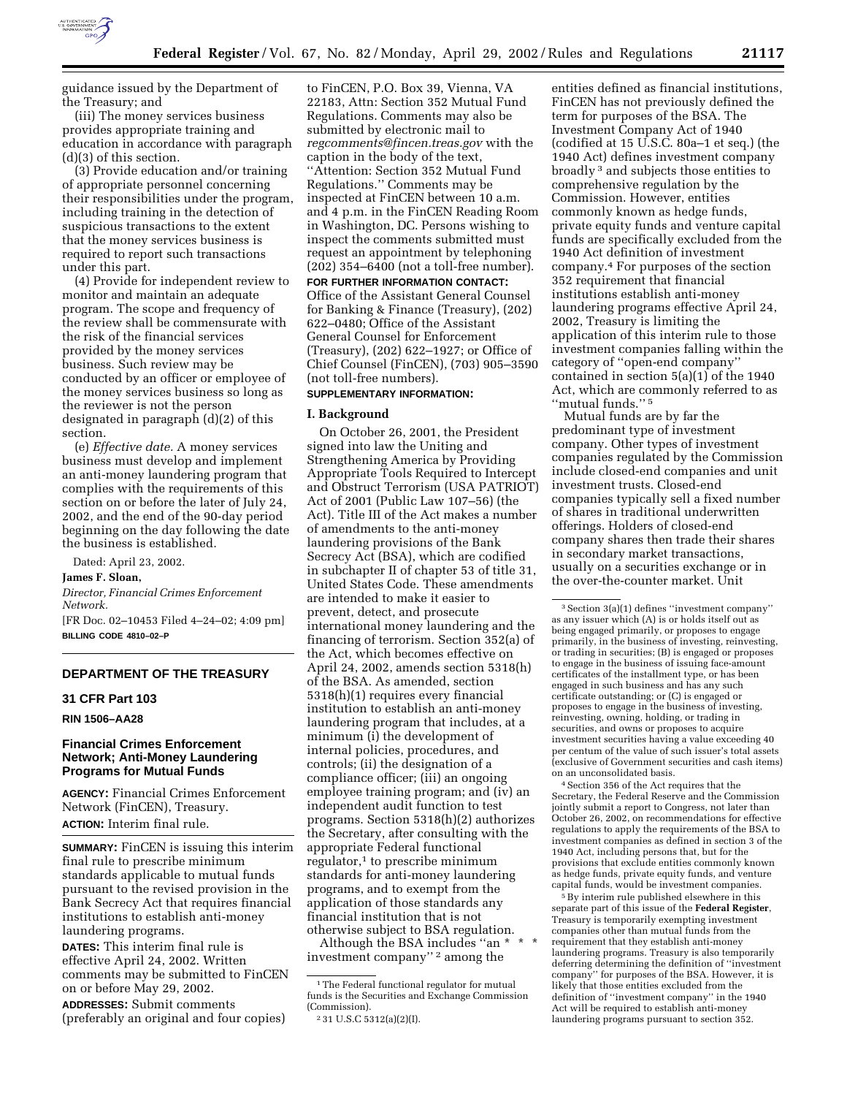

guidance issued by the Department of the Treasury; and

(iii) The money services business provides appropriate training and education in accordance with paragraph (d)(3) of this section.

(3) Provide education and/or training of appropriate personnel concerning their responsibilities under the program, including training in the detection of suspicious transactions to the extent that the money services business is required to report such transactions under this part.

(4) Provide for independent review to monitor and maintain an adequate program. The scope and frequency of the review shall be commensurate with the risk of the financial services provided by the money services business. Such review may be conducted by an officer or employee of the money services business so long as the reviewer is not the person designated in paragraph (d)(2) of this section.

(e) *Effective date.* A money services business must develop and implement an anti-money laundering program that complies with the requirements of this section on or before the later of July 24, 2002, and the end of the 90-day period beginning on the day following the date the business is established.

Dated: April 23, 2002.

#### **James F. Sloan,**

*Director, Financial Crimes Enforcement Network.*

[FR Doc. 02–10453 Filed 4–24–02; 4:09 pm] **BILLING CODE 4810–02–P**

## **DEPARTMENT OF THE TREASURY**

## **31 CFR Part 103**

### **RIN 1506–AA28**

### **Financial Crimes Enforcement Network; Anti-Money Laundering Programs for Mutual Funds**

**AGENCY:** Financial Crimes Enforcement Network (FinCEN), Treasury. **ACTION:** Interim final rule.

**SUMMARY:** FinCEN is issuing this interim final rule to prescribe minimum standards applicable to mutual funds pursuant to the revised provision in the Bank Secrecy Act that requires financial institutions to establish anti-money laundering programs.

**DATES:** This interim final rule is effective April 24, 2002. Written comments may be submitted to FinCEN on or before May 29, 2002.

**ADDRESSES:** Submit comments (preferably an original and four copies)

to FinCEN, P.O. Box 39, Vienna, VA 22183, Attn: Section 352 Mutual Fund Regulations. Comments may also be submitted by electronic mail to *regcomments@fincen.treas.gov* with the caption in the body of the text, ''Attention: Section 352 Mutual Fund Regulations.'' Comments may be inspected at FinCEN between 10 a.m. and 4 p.m. in the FinCEN Reading Room in Washington, DC. Persons wishing to inspect the comments submitted must request an appointment by telephoning (202) 354–6400 (not a toll-free number).

**FOR FURTHER INFORMATION CONTACT:** Office of the Assistant General Counsel for Banking & Finance (Treasury), (202) 622–0480; Office of the Assistant General Counsel for Enforcement (Treasury), (202) 622–1927; or Office of Chief Counsel (FinCEN), (703) 905–3590 (not toll-free numbers).

## **SUPPLEMENTARY INFORMATION:**

#### **I. Background**

On October 26, 2001, the President signed into law the Uniting and Strengthening America by Providing Appropriate Tools Required to Intercept and Obstruct Terrorism (USA PATRIOT) Act of 2001 (Public Law 107–56) (the Act). Title III of the Act makes a number of amendments to the anti-money laundering provisions of the Bank Secrecy Act (BSA), which are codified in subchapter II of chapter 53 of title 31, United States Code. These amendments are intended to make it easier to prevent, detect, and prosecute international money laundering and the financing of terrorism. Section 352(a) of the Act, which becomes effective on April 24, 2002, amends section 5318(h) of the BSA. As amended, section 5318(h)(1) requires every financial institution to establish an anti-money laundering program that includes, at a minimum (i) the development of internal policies, procedures, and controls; (ii) the designation of a compliance officer; (iii) an ongoing employee training program; and (iv) an independent audit function to test programs. Section 5318(h)(2) authorizes the Secretary, after consulting with the appropriate Federal functional regulator,<sup>1</sup> to prescribe minimum standards for anti-money laundering programs, and to exempt from the application of those standards any financial institution that is not otherwise subject to BSA regulation.

Although the BSA includes "an  $*$ investment company'' 2 among the

entities defined as financial institutions, FinCEN has not previously defined the term for purposes of the BSA. The Investment Company Act of 1940 (codified at 15 U.S.C. 80a–1 et seq.) (the 1940 Act) defines investment company broadly 3 and subjects those entities to comprehensive regulation by the Commission. However, entities commonly known as hedge funds, private equity funds and venture capital funds are specifically excluded from the 1940 Act definition of investment company.4 For purposes of the section 352 requirement that financial institutions establish anti-money laundering programs effective April 24, 2002, Treasury is limiting the application of this interim rule to those investment companies falling within the category of ''open-end company'' contained in section 5(a)(1) of the 1940 Act, which are commonly referred to as ''mutual funds.'' 5

Mutual funds are by far the predominant type of investment company. Other types of investment companies regulated by the Commission include closed-end companies and unit investment trusts. Closed-end companies typically sell a fixed number of shares in traditional underwritten offerings. Holders of closed-end company shares then trade their shares in secondary market transactions, usually on a securities exchange or in the over-the-counter market. Unit

4Section 356 of the Act requires that the Secretary, the Federal Reserve and the Commission jointly submit a report to Congress, not later than October 26, 2002, on recommendations for effective regulations to apply the requirements of the BSA to investment companies as defined in section 3 of the 1940 Act, including persons that, but for the provisions that exclude entities commonly known as hedge funds, private equity funds, and venture capital funds, would be investment companies.

5By interim rule published elsewhere in this separate part of this issue of the **Federal Register**, Treasury is temporarily exempting investment companies other than mutual funds from the requirement that they establish anti-money laundering programs. Treasury is also temporarily deferring determining the definition of ''investment company'' for purposes of the BSA. However, it is likely that those entities excluded from the definition of ''investment company'' in the 1940 Act will be required to establish anti-money laundering programs pursuant to section 352.

<sup>1</sup>The Federal functional regulator for mutual funds is the Securities and Exchange Commission (Commission).

<sup>2</sup> 31 U.S.C 5312(a)(2)(I).

<sup>3</sup>Section 3(a)(1) defines ''investment company'' as any issuer which (A) is or holds itself out as being engaged primarily, or proposes to engage primarily, in the business of investing, reinvesting, or trading in securities; (B) is engaged or proposes to engage in the business of issuing face-amount certificates of the installment type, or has been engaged in such business and has any such certificate outstanding; or (C) is engaged or proposes to engage in the business of investing, reinvesting, owning, holding, or trading in securities, and owns or proposes to acquire investment securities having a value exceeding 40 per centum of the value of such issuer's total assets (exclusive of Government securities and cash items) on an unconsolidated basis.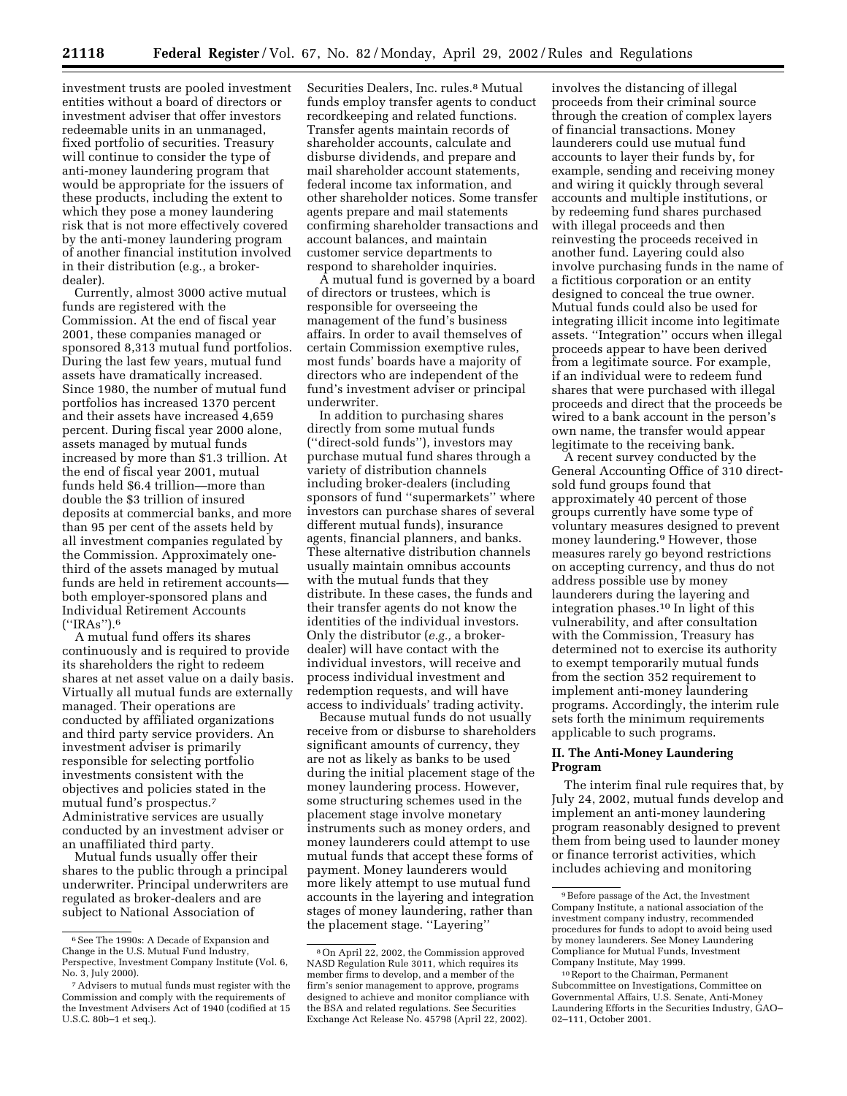investment trusts are pooled investment entities without a board of directors or investment adviser that offer investors redeemable units in an unmanaged, fixed portfolio of securities. Treasury will continue to consider the type of anti-money laundering program that would be appropriate for the issuers of these products, including the extent to which they pose a money laundering risk that is not more effectively covered by the anti-money laundering program of another financial institution involved in their distribution (e.g., a brokerdealer).

Currently, almost 3000 active mutual funds are registered with the Commission. At the end of fiscal year 2001, these companies managed or sponsored 8,313 mutual fund portfolios. During the last few years, mutual fund assets have dramatically increased. Since 1980, the number of mutual fund portfolios has increased 1370 percent and their assets have increased 4,659 percent. During fiscal year 2000 alone, assets managed by mutual funds increased by more than \$1.3 trillion. At the end of fiscal year 2001, mutual funds held \$6.4 trillion—more than double the \$3 trillion of insured deposits at commercial banks, and more than 95 per cent of the assets held by all investment companies regulated by the Commission. Approximately onethird of the assets managed by mutual funds are held in retirement accounts both employer-sponsored plans and Individual Retirement Accounts (''IRAs'').6

A mutual fund offers its shares continuously and is required to provide its shareholders the right to redeem shares at net asset value on a daily basis. Virtually all mutual funds are externally managed. Their operations are conducted by affiliated organizations and third party service providers. An investment adviser is primarily responsible for selecting portfolio investments consistent with the objectives and policies stated in the mutual fund's prospectus.7 Administrative services are usually conducted by an investment adviser or an unaffiliated third party.

Mutual funds usually offer their shares to the public through a principal underwriter. Principal underwriters are regulated as broker-dealers and are subject to National Association of

Securities Dealers, Inc. rules.<sup>8</sup> Mutual funds employ transfer agents to conduct recordkeeping and related functions. Transfer agents maintain records of shareholder accounts, calculate and disburse dividends, and prepare and mail shareholder account statements, federal income tax information, and other shareholder notices. Some transfer agents prepare and mail statements confirming shareholder transactions and account balances, and maintain customer service departments to respond to shareholder inquiries.

A mutual fund is governed by a board of directors or trustees, which is responsible for overseeing the management of the fund's business affairs. In order to avail themselves of certain Commission exemptive rules, most funds' boards have a majority of directors who are independent of the fund's investment adviser or principal underwriter.

In addition to purchasing shares directly from some mutual funds (''direct-sold funds''), investors may purchase mutual fund shares through a variety of distribution channels including broker-dealers (including sponsors of fund ''supermarkets'' where investors can purchase shares of several different mutual funds), insurance agents, financial planners, and banks. These alternative distribution channels usually maintain omnibus accounts with the mutual funds that they distribute. In these cases, the funds and their transfer agents do not know the identities of the individual investors. Only the distributor (*e.g.,* a brokerdealer) will have contact with the individual investors, will receive and process individual investment and redemption requests, and will have access to individuals' trading activity.

Because mutual funds do not usually receive from or disburse to shareholders significant amounts of currency, they are not as likely as banks to be used during the initial placement stage of the money laundering process. However, some structuring schemes used in the placement stage involve monetary instruments such as money orders, and money launderers could attempt to use mutual funds that accept these forms of payment. Money launderers would more likely attempt to use mutual fund accounts in the layering and integration stages of money laundering, rather than the placement stage. ''Layering''

involves the distancing of illegal proceeds from their criminal source through the creation of complex layers of financial transactions. Money launderers could use mutual fund accounts to layer their funds by, for example, sending and receiving money and wiring it quickly through several accounts and multiple institutions, or by redeeming fund shares purchased with illegal proceeds and then reinvesting the proceeds received in another fund. Layering could also involve purchasing funds in the name of a fictitious corporation or an entity designed to conceal the true owner. Mutual funds could also be used for integrating illicit income into legitimate assets. ''Integration'' occurs when illegal proceeds appear to have been derived from a legitimate source. For example, if an individual were to redeem fund shares that were purchased with illegal proceeds and direct that the proceeds be wired to a bank account in the person's own name, the transfer would appear legitimate to the receiving bank.

A recent survey conducted by the General Accounting Office of 310 directsold fund groups found that approximately 40 percent of those groups currently have some type of voluntary measures designed to prevent money laundering.<sup>9</sup> However, those measures rarely go beyond restrictions on accepting currency, and thus do not address possible use by money launderers during the layering and integration phases.10 In light of this vulnerability, and after consultation with the Commission, Treasury has determined not to exercise its authority to exempt temporarily mutual funds from the section 352 requirement to implement anti-money laundering programs. Accordingly, the interim rule sets forth the minimum requirements applicable to such programs.

## **II. The Anti-Money Laundering Program**

The interim final rule requires that, by July 24, 2002, mutual funds develop and implement an anti-money laundering program reasonably designed to prevent them from being used to launder money or finance terrorist activities, which includes achieving and monitoring

<sup>6</sup>See The 1990s: A Decade of Expansion and Change in the U.S. Mutual Fund Industry, Perspective, Investment Company Institute (Vol. 6, No. 3, July 2000).

<sup>7</sup>Advisers to mutual funds must register with the Commission and comply with the requirements of the Investment Advisers Act of 1940 (codified at 15 U.S.C. 80b–1 et seq.).

<sup>8</sup>On April 22, 2002, the Commission approved NASD Regulation Rule 3011, which requires its member firms to develop, and a member of the firm's senior management to approve, programs designed to achieve and monitor compliance with the BSA and related regulations. See Securities Exchange Act Release No. 45798 (April 22, 2002).

 $^{\rm 9}$  Before passage of the Act, the Investment Company Institute, a national association of the investment company industry, recommended procedures for funds to adopt to avoid being used by money launderers. See Money Laundering Compliance for Mutual Funds, Investment Company Institute, May 1999.

<sup>10</sup>Report to the Chairman, Permanent Subcommittee on Investigations, Committee on Governmental Affairs, U.S. Senate, Anti-Money Laundering Efforts in the Securities Industry, GAO– 02–111, October 2001.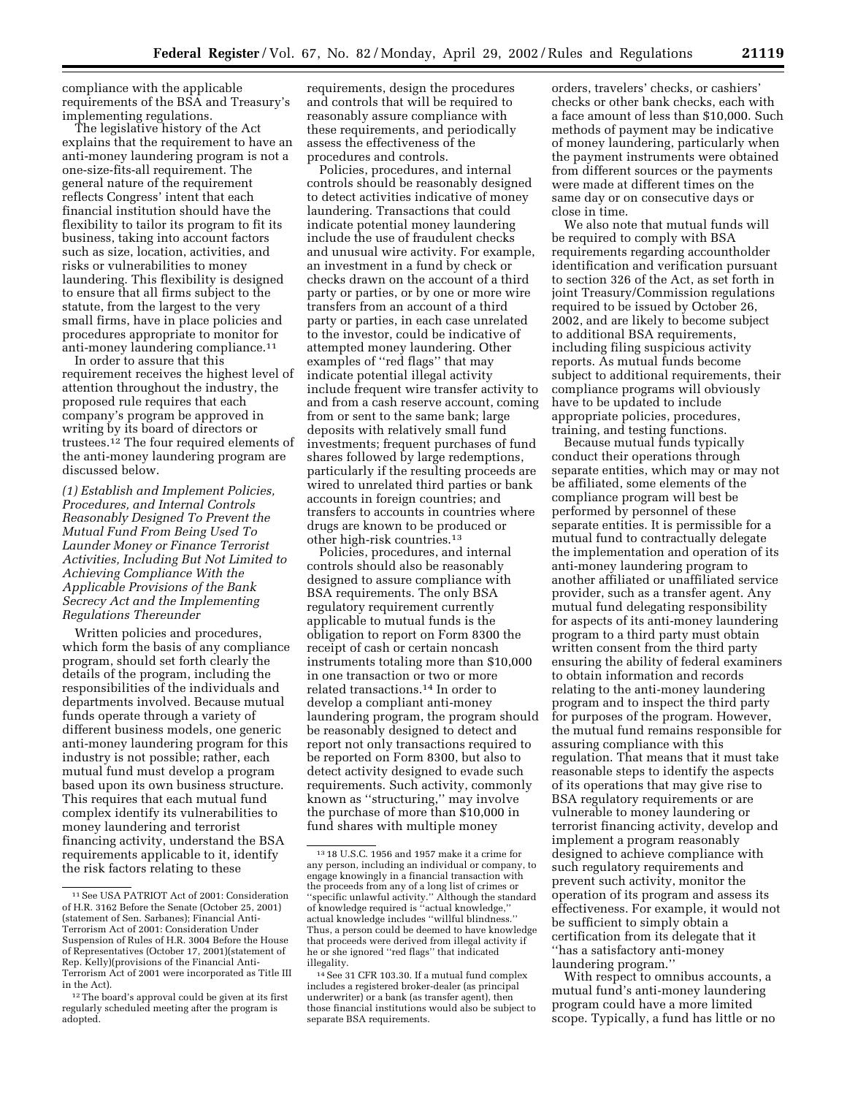compliance with the applicable requirements of the BSA and Treasury's implementing regulations.

The legislative history of the Act explains that the requirement to have an anti-money laundering program is not a one-size-fits-all requirement. The general nature of the requirement reflects Congress' intent that each financial institution should have the flexibility to tailor its program to fit its business, taking into account factors such as size, location, activities, and risks or vulnerabilities to money laundering. This flexibility is designed to ensure that all firms subject to the statute, from the largest to the very small firms, have in place policies and procedures appropriate to monitor for anti-money laundering compliance.11

In order to assure that this requirement receives the highest level of attention throughout the industry, the proposed rule requires that each company's program be approved in writing by its board of directors or trustees.12 The four required elements of the anti-money laundering program are discussed below.

*(1) Establish and Implement Policies, Procedures, and Internal Controls Reasonably Designed To Prevent the Mutual Fund From Being Used To Launder Money or Finance Terrorist Activities, Including But Not Limited to Achieving Compliance With the Applicable Provisions of the Bank Secrecy Act and the Implementing Regulations Thereunder*

Written policies and procedures, which form the basis of any compliance program, should set forth clearly the details of the program, including the responsibilities of the individuals and departments involved. Because mutual funds operate through a variety of different business models, one generic anti-money laundering program for this industry is not possible; rather, each mutual fund must develop a program based upon its own business structure. This requires that each mutual fund complex identify its vulnerabilities to money laundering and terrorist financing activity, understand the BSA requirements applicable to it, identify the risk factors relating to these

requirements, design the procedures and controls that will be required to reasonably assure compliance with these requirements, and periodically assess the effectiveness of the procedures and controls.

Policies, procedures, and internal controls should be reasonably designed to detect activities indicative of money laundering. Transactions that could indicate potential money laundering include the use of fraudulent checks and unusual wire activity. For example, an investment in a fund by check or checks drawn on the account of a third party or parties, or by one or more wire transfers from an account of a third party or parties, in each case unrelated to the investor, could be indicative of attempted money laundering. Other examples of ''red flags'' that may indicate potential illegal activity include frequent wire transfer activity to and from a cash reserve account, coming from or sent to the same bank; large deposits with relatively small fund investments; frequent purchases of fund shares followed by large redemptions, particularly if the resulting proceeds are wired to unrelated third parties or bank accounts in foreign countries; and transfers to accounts in countries where drugs are known to be produced or other high-risk countries.13

Policies, procedures, and internal controls should also be reasonably designed to assure compliance with BSA requirements. The only BSA regulatory requirement currently applicable to mutual funds is the obligation to report on Form 8300 the receipt of cash or certain noncash instruments totaling more than \$10,000 in one transaction or two or more related transactions.14 In order to develop a compliant anti-money laundering program, the program should be reasonably designed to detect and report not only transactions required to be reported on Form 8300, but also to detect activity designed to evade such requirements. Such activity, commonly known as ''structuring,'' may involve the purchase of more than \$10,000 in fund shares with multiple money

orders, travelers' checks, or cashiers' checks or other bank checks, each with a face amount of less than \$10,000. Such methods of payment may be indicative of money laundering, particularly when the payment instruments were obtained from different sources or the payments were made at different times on the same day or on consecutive days or close in time.

We also note that mutual funds will be required to comply with BSA requirements regarding accountholder identification and verification pursuant to section 326 of the Act, as set forth in joint Treasury/Commission regulations required to be issued by October 26, 2002, and are likely to become subject to additional BSA requirements, including filing suspicious activity reports. As mutual funds become subject to additional requirements, their compliance programs will obviously have to be updated to include appropriate policies, procedures, training, and testing functions.

Because mutual funds typically conduct their operations through separate entities, which may or may not be affiliated, some elements of the compliance program will best be performed by personnel of these separate entities. It is permissible for a mutual fund to contractually delegate the implementation and operation of its anti-money laundering program to another affiliated or unaffiliated service provider, such as a transfer agent. Any mutual fund delegating responsibility for aspects of its anti-money laundering program to a third party must obtain written consent from the third party ensuring the ability of federal examiners to obtain information and records relating to the anti-money laundering program and to inspect the third party for purposes of the program. However, the mutual fund remains responsible for assuring compliance with this regulation. That means that it must take reasonable steps to identify the aspects of its operations that may give rise to BSA regulatory requirements or are vulnerable to money laundering or terrorist financing activity, develop and implement a program reasonably designed to achieve compliance with such regulatory requirements and prevent such activity, monitor the operation of its program and assess its effectiveness. For example, it would not be sufficient to simply obtain a certification from its delegate that it ''has a satisfactory anti-money laundering program.''

With respect to omnibus accounts, a mutual fund's anti-money laundering program could have a more limited scope. Typically, a fund has little or no

<sup>11</sup>See USA PATRIOT Act of 2001: Consideration of H.R. 3162 Before the Senate (October 25, 2001) (statement of Sen. Sarbanes); Financial Anti-Terrorism Act of 2001: Consideration Under Suspension of Rules of H.R. 3004 Before the House of Representatives (October 17, 2001)(statement of Rep. Kelly)(provisions of the Financial Anti-Terrorism Act of 2001 were incorporated as Title III in the Act).

<sup>&</sup>lt;sup>12</sup> The board's approval could be given at its first regularly scheduled meeting after the program is adopted.

<sup>13</sup> 18 U.S.C. 1956 and 1957 make it a crime for any person, including an individual or company, to engage knowingly in a financial transaction with the proceeds from any of a long list of crimes or ''specific unlawful activity.'' Although the standard of knowledge required is ''actual knowledge,'' actual knowledge includes ''willful blindness.'' Thus, a person could be deemed to have knowledge that proceeds were derived from illegal activity if he or she ignored ''red flags'' that indicated illegality.

<sup>14</sup>See 31 CFR 103.30. If a mutual fund complex includes a registered broker-dealer (as principal underwriter) or a bank (as transfer agent), then those financial institutions would also be subject to separate BSA requirements.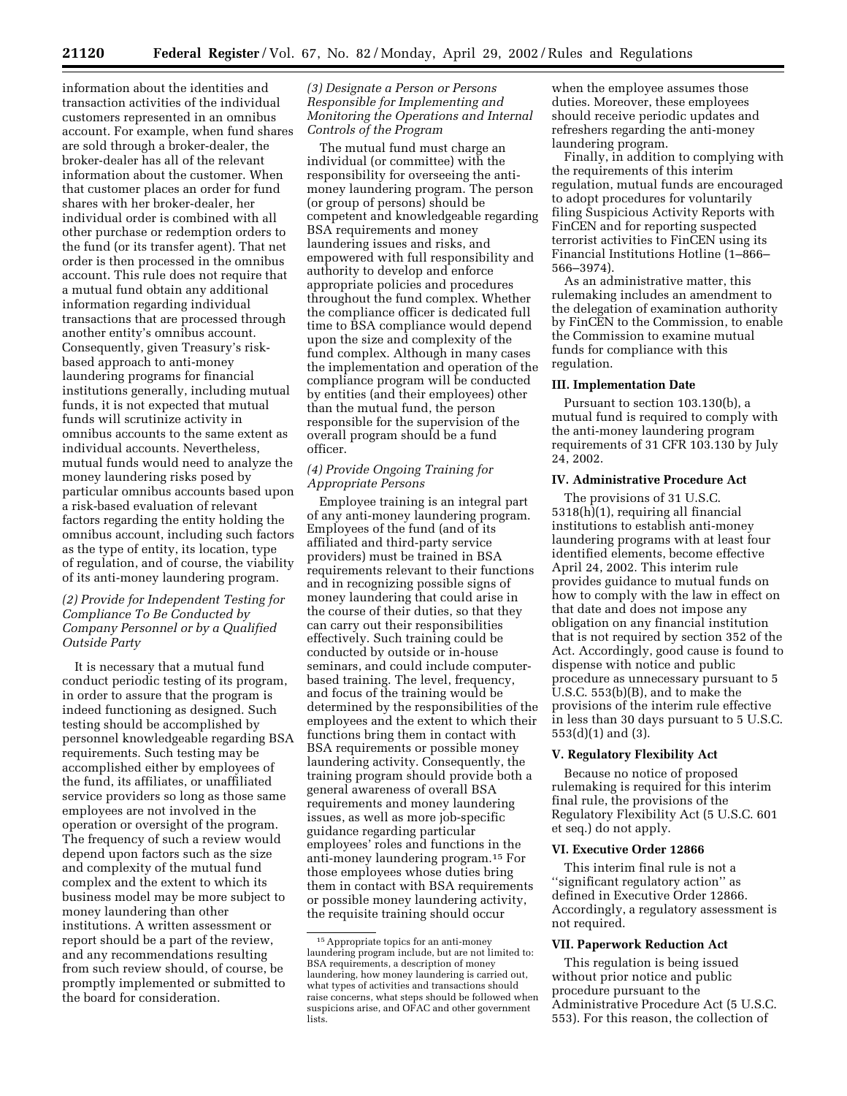information about the identities and transaction activities of the individual customers represented in an omnibus account. For example, when fund shares are sold through a broker-dealer, the broker-dealer has all of the relevant information about the customer. When that customer places an order for fund shares with her broker-dealer, her individual order is combined with all other purchase or redemption orders to the fund (or its transfer agent). That net order is then processed in the omnibus account. This rule does not require that a mutual fund obtain any additional information regarding individual transactions that are processed through another entity's omnibus account. Consequently, given Treasury's riskbased approach to anti-money laundering programs for financial institutions generally, including mutual funds, it is not expected that mutual funds will scrutinize activity in omnibus accounts to the same extent as individual accounts. Nevertheless, mutual funds would need to analyze the money laundering risks posed by particular omnibus accounts based upon a risk-based evaluation of relevant factors regarding the entity holding the omnibus account, including such factors as the type of entity, its location, type of regulation, and of course, the viability of its anti-money laundering program.

# *(2) Provide for Independent Testing for Compliance To Be Conducted by Company Personnel or by a Qualified Outside Party*

It is necessary that a mutual fund conduct periodic testing of its program, in order to assure that the program is indeed functioning as designed. Such testing should be accomplished by personnel knowledgeable regarding BSA requirements. Such testing may be accomplished either by employees of the fund, its affiliates, or unaffiliated service providers so long as those same employees are not involved in the operation or oversight of the program. The frequency of such a review would depend upon factors such as the size and complexity of the mutual fund complex and the extent to which its business model may be more subject to money laundering than other institutions. A written assessment or report should be a part of the review, and any recommendations resulting from such review should, of course, be promptly implemented or submitted to the board for consideration.

## *(3) Designate a Person or Persons Responsible for Implementing and Monitoring the Operations and Internal Controls of the Program*

The mutual fund must charge an individual (or committee) with the responsibility for overseeing the antimoney laundering program. The person (or group of persons) should be competent and knowledgeable regarding BSA requirements and money laundering issues and risks, and empowered with full responsibility and authority to develop and enforce appropriate policies and procedures throughout the fund complex. Whether the compliance officer is dedicated full time to BSA compliance would depend upon the size and complexity of the fund complex. Although in many cases the implementation and operation of the compliance program will be conducted by entities (and their employees) other than the mutual fund, the person responsible for the supervision of the overall program should be a fund officer.

## *(4) Provide Ongoing Training for Appropriate Persons*

Employee training is an integral part of any anti-money laundering program. Employees of the fund (and of its affiliated and third-party service providers) must be trained in BSA requirements relevant to their functions and in recognizing possible signs of money laundering that could arise in the course of their duties, so that they can carry out their responsibilities effectively. Such training could be conducted by outside or in-house seminars, and could include computerbased training. The level, frequency, and focus of the training would be determined by the responsibilities of the employees and the extent to which their functions bring them in contact with BSA requirements or possible money laundering activity. Consequently, the training program should provide both a general awareness of overall BSA requirements and money laundering issues, as well as more job-specific guidance regarding particular employees' roles and functions in the anti-money laundering program.15 For those employees whose duties bring them in contact with BSA requirements or possible money laundering activity, the requisite training should occur

when the employee assumes those duties. Moreover, these employees should receive periodic updates and refreshers regarding the anti-money laundering program.

Finally, in addition to complying with the requirements of this interim regulation, mutual funds are encouraged to adopt procedures for voluntarily filing Suspicious Activity Reports with FinCEN and for reporting suspected terrorist activities to FinCEN using its Financial Institutions Hotline (1–866– 566–3974).

As an administrative matter, this rulemaking includes an amendment to the delegation of examination authority by FinCEN to the Commission, to enable the Commission to examine mutual funds for compliance with this regulation.

### **III. Implementation Date**

Pursuant to section 103.130(b), a mutual fund is required to comply with the anti-money laundering program requirements of 31 CFR 103.130 by July 24, 2002.

# **IV. Administrative Procedure Act**

The provisions of 31 U.S.C. 5318(h)(1), requiring all financial institutions to establish anti-money laundering programs with at least four identified elements, become effective April 24, 2002. This interim rule provides guidance to mutual funds on how to comply with the law in effect on that date and does not impose any obligation on any financial institution that is not required by section 352 of the Act. Accordingly, good cause is found to dispense with notice and public procedure as unnecessary pursuant to 5 U.S.C. 553(b)(B), and to make the provisions of the interim rule effective in less than 30 days pursuant to 5 U.S.C. 553(d)(1) and (3).

### **V. Regulatory Flexibility Act**

Because no notice of proposed rulemaking is required for this interim final rule, the provisions of the Regulatory Flexibility Act (5 U.S.C. 601 et seq.) do not apply.

#### **VI. Executive Order 12866**

This interim final rule is not a ''significant regulatory action'' as defined in Executive Order 12866. Accordingly, a regulatory assessment is not required.

#### **VII. Paperwork Reduction Act**

This regulation is being issued without prior notice and public procedure pursuant to the Administrative Procedure Act (5 U.S.C. 553). For this reason, the collection of

<sup>15</sup>Appropriate topics for an anti-money laundering program include, but are not limited to: BSA requirements, a description of money laundering, how money laundering is carried out, what types of activities and transactions should raise concerns, what steps should be followed when suspicions arise, and OFAC and other government lists.